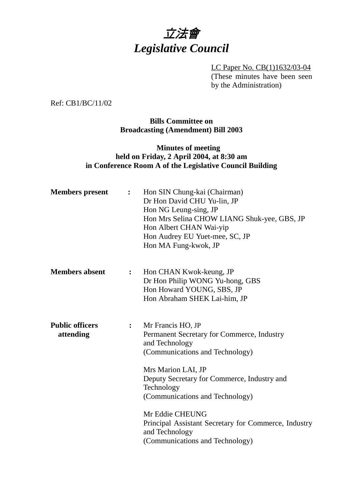

LC Paper No. CB(1)1632/03-04 (These minutes have been seen by the Administration)

Ref: CB1/BC/11/02

**Bills Committee on Broadcasting (Amendment) Bill 2003**

# **Minutes of meeting held on Friday, 2 April 2004, at 8:30 am in Conference Room A of the Legislative Council Building**

| <b>Members</b> present              |                | Hon SIN Chung-kai (Chairman)<br>Dr Hon David CHU Yu-lin, JP<br>Hon NG Leung-sing, JP<br>Hon Mrs Selina CHOW LIANG Shuk-yee, GBS, JP<br>Hon Albert CHAN Wai-yip<br>Hon Audrey EU Yuet-mee, SC, JP<br>Hon MA Fung-kwok, JP                                                                                                                |
|-------------------------------------|----------------|-----------------------------------------------------------------------------------------------------------------------------------------------------------------------------------------------------------------------------------------------------------------------------------------------------------------------------------------|
| <b>Members absent</b>               | $\ddot{\cdot}$ | Hon CHAN Kwok-keung, JP<br>Dr Hon Philip WONG Yu-hong, GBS<br>Hon Howard YOUNG, SBS, JP<br>Hon Abraham SHEK Lai-him, JP                                                                                                                                                                                                                 |
| <b>Public officers</b><br>attending | $\ddot{\cdot}$ | Mr Francis HO, JP<br>Permanent Secretary for Commerce, Industry<br>and Technology<br>(Communications and Technology)<br>Mrs Marion LAI, JP<br>Deputy Secretary for Commerce, Industry and<br>Technology<br>(Communications and Technology)<br>Mr Eddie CHEUNG<br>Principal Assistant Secretary for Commerce, Industry<br>and Technology |
|                                     |                | (Communications and Technology)                                                                                                                                                                                                                                                                                                         |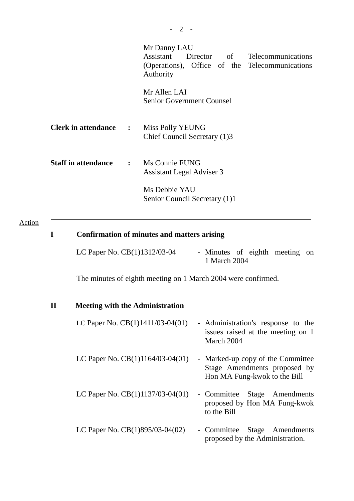|                                             | Mr Danny LAU<br>Assistant Director of Telecommunications<br>(Operations), Office of the Telecommunications<br>Authority<br>Mr Allen LAI<br><b>Senior Government Counsel</b> |  |
|---------------------------------------------|-----------------------------------------------------------------------------------------------------------------------------------------------------------------------------|--|
| <b>Clerk in attendance :</b>                | Miss Polly YEUNG<br>Chief Council Secretary (1)3                                                                                                                            |  |
| <b>Staff in attendance : Ms Connie FUNG</b> | <b>Assistant Legal Adviser 3</b>                                                                                                                                            |  |
|                                             | Ms Debbie YAU<br>Senior Council Secretary (1)1                                                                                                                              |  |

## Action

 $\overline{a}$ 

| I            | <b>Confirmation of minutes and matters arising</b>            |                                                                                                   |  |  |  |
|--------------|---------------------------------------------------------------|---------------------------------------------------------------------------------------------------|--|--|--|
|              | LC Paper No. CB(1)1312/03-04                                  | - Minutes of eighth meeting<br>on<br>1 March 2004                                                 |  |  |  |
|              | The minutes of eighth meeting on 1 March 2004 were confirmed. |                                                                                                   |  |  |  |
| $\mathbf{I}$ | <b>Meeting with the Administration</b>                        |                                                                                                   |  |  |  |
|              | LC Paper No. $CB(1)1411/03-04(01)$                            | - Administration's response to the<br>issues raised at the meeting on 1<br>March 2004             |  |  |  |
|              | LC Paper No. $CB(1)1164/03-04(01)$                            | - Marked-up copy of the Committee<br>Stage Amendments proposed by<br>Hon MA Fung-kwok to the Bill |  |  |  |
|              | LC Paper No. $CB(1)1137/03-04(01)$                            | - Committee<br>Stage Amendments<br>proposed by Hon MA Fung-kwok<br>to the Bill                    |  |  |  |
|              | LC Paper No. $CB(1)895/03-04(02)$                             | - Committee<br>Stage Amendments<br>proposed by the Administration.                                |  |  |  |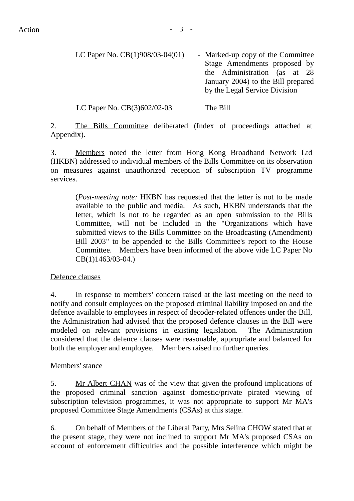| LC Paper No. CB(1)908/03-04(01) | - Marked-up copy of the Committee  |
|---------------------------------|------------------------------------|
|                                 | Stage Amendments proposed by       |
|                                 | the Administration (as at 28       |
|                                 | January 2004) to the Bill prepared |
|                                 | by the Legal Service Division      |
|                                 |                                    |

LC Paper No. CB(3)602/02-03 The Bill

2. The Bills Committee deliberated (Index of proceedings attached at Appendix).

3. Members noted the letter from Hong Kong Broadband Network Ltd (HKBN) addressed to individual members of the Bills Committee on its observation on measures against unauthorized reception of subscription TV programme services.

(*Post-meeting note:* HKBN has requested that the letter is not to be made available to the public and media. As such, HKBN understands that the letter, which is not to be regarded as an open submission to the Bills Committee, will not be included in the "Organizations which have submitted views to the Bills Committee on the Broadcasting (Amendment) Bill 2003" to be appended to the Bills Committee's report to the House Committee. Members have been informed of the above vide LC Paper No CB(1)1463/03-04.)

### Defence clauses

4. In response to members' concern raised at the last meeting on the need to notify and consult employees on the proposed criminal liability imposed on and the defence available to employees in respect of decoder-related offences under the Bill, the Administration had advised that the proposed defence clauses in the Bill were modeled on relevant provisions in existing legislation. The Administration considered that the defence clauses were reasonable, appropriate and balanced for both the employer and employee. Members raised no further queries.

#### Members' stance

5. Mr Albert CHAN was of the view that given the profound implications of the proposed criminal sanction against domestic/private pirated viewing of subscription television programmes, it was not appropriate to support Mr MA's proposed Committee Stage Amendments (CSAs) at this stage.

6. On behalf of Members of the Liberal Party, Mrs Selina CHOW stated that at the present stage, they were not inclined to support Mr MA's proposed CSAs on account of enforcement difficulties and the possible interference which might be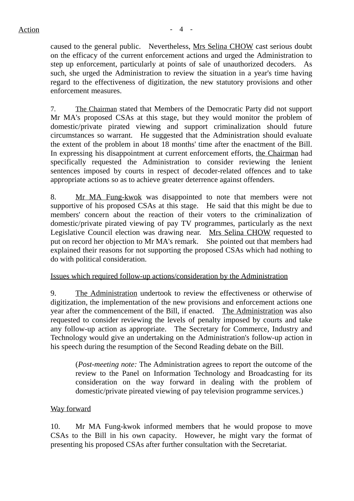caused to the general public. Nevertheless, Mrs Selina CHOW cast serious doubt on the efficacy of the current enforcement actions and urged the Administration to step up enforcement, particularly at points of sale of unauthorized decoders. As such, she urged the Administration to review the situation in a year's time having regard to the effectiveness of digitization, the new statutory provisions and other enforcement measures.

7. The Chairman stated that Members of the Democratic Party did not support Mr MA's proposed CSAs at this stage, but they would monitor the problem of domestic/private pirated viewing and support criminalization should future circumstances so warrant. He suggested that the Administration should evaluate the extent of the problem in about 18 months' time after the enactment of the Bill. In expressing his disappointment at current enforcement efforts, the Chairman had specifically requested the Administration to consider reviewing the lenient sentences imposed by courts in respect of decoder-related offences and to take appropriate actions so as to achieve greater deterrence against offenders.

8. Mr MA Fung-kwok was disappointed to note that members were not supportive of his proposed CSAs at this stage. He said that this might be due to members' concern about the reaction of their voters to the criminalization of domestic/private pirated viewing of pay TV programmes, particularly as the next Legislative Council election was drawing near. Mrs Selina CHOW requested to put on record her objection to Mr MA's remark. She pointed out that members had explained their reasons for not supporting the proposed CSAs which had nothing to do with political consideration.

Issues which required follow-up actions/consideration by the Administration

9. The Administration undertook to review the effectiveness or otherwise of digitization, the implementation of the new provisions and enforcement actions one year after the commencement of the Bill, if enacted. The Administration was also requested to consider reviewing the levels of penalty imposed by courts and take any follow-up action as appropriate. The Secretary for Commerce, Industry and Technology would give an undertaking on the Administration's follow-up action in his speech during the resumption of the Second Reading debate on the Bill.

(*Post-meeting note:* The Administration agrees to report the outcome of the review to the Panel on Information Technology and Broadcasting for its consideration on the way forward in dealing with the problem of domestic/private pireated viewing of pay television programme services.)

### Way forward

10. Mr MA Fung-kwok informed members that he would propose to move CSAs to the Bill in his own capacity. However, he might vary the format of presenting his proposed CSAs after further consultation with the Secretariat.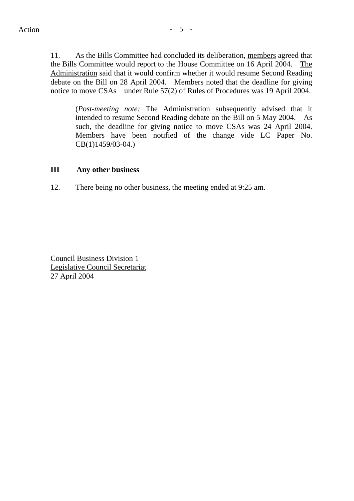11. As the Bills Committee had concluded its deliberation, members agreed that the Bills Committee would report to the House Committee on 16 April 2004. The Administration said that it would confirm whether it would resume Second Reading debate on the Bill on 28 April 2004. Members noted that the deadline for giving notice to move CSAs under Rule 57(2) of Rules of Procedures was 19 April 2004.

(*Post-meeting note:* The Administration subsequently advised that it intended to resume Second Reading debate on the Bill on 5 May 2004. As such, the deadline for giving notice to move CSAs was 24 April 2004. Members have been notified of the change vide LC Paper No. CB(1)1459/03-04.)

### **III Any other business**

12. There being no other business, the meeting ended at 9:25 am.

Council Business Division 1 Legislative Council Secretariat 27 April 2004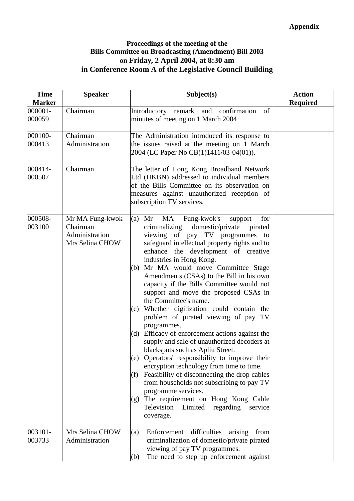### **Proceedings of the meeting of the Bills Committee on Broadcasting (Amendment) Bill 2003 on Friday, 2 April 2004, at 8:30 am in Conference Room A of the Legislative Council Building**

| <b>Time</b><br><b>Marker</b> | <b>Speaker</b>                                                   | Subject(s)                                                                                                                                                                                                                                                                                                                                                                                                                                                                                                                                                                                                                                                                                                                                                                                                                                                                                                                                                                                                                                      | <b>Action</b><br><b>Required</b> |
|------------------------------|------------------------------------------------------------------|-------------------------------------------------------------------------------------------------------------------------------------------------------------------------------------------------------------------------------------------------------------------------------------------------------------------------------------------------------------------------------------------------------------------------------------------------------------------------------------------------------------------------------------------------------------------------------------------------------------------------------------------------------------------------------------------------------------------------------------------------------------------------------------------------------------------------------------------------------------------------------------------------------------------------------------------------------------------------------------------------------------------------------------------------|----------------------------------|
| 000001-<br>000059            | Chairman                                                         | Introductory remark and<br>confirmation<br>of<br>minutes of meeting on 1 March 2004                                                                                                                                                                                                                                                                                                                                                                                                                                                                                                                                                                                                                                                                                                                                                                                                                                                                                                                                                             |                                  |
| 000100-<br>000413            | Chairman<br>Administration                                       | The Administration introduced its response to<br>the issues raised at the meeting on 1 March<br>2004 (LC Paper No CB(1)1411/03-04(01)).                                                                                                                                                                                                                                                                                                                                                                                                                                                                                                                                                                                                                                                                                                                                                                                                                                                                                                         |                                  |
| 000414-<br>000507            | Chairman                                                         | The letter of Hong Kong Broadband Network<br>Ltd (HKBN) addressed to individual members<br>of the Bills Committee on its observation on<br>measures against unauthorized reception of<br>subscription TV services.                                                                                                                                                                                                                                                                                                                                                                                                                                                                                                                                                                                                                                                                                                                                                                                                                              |                                  |
| 000508-<br>003100            | Mr MA Fung-kwok<br>Chairman<br>Administration<br>Mrs Selina CHOW | MA<br>Fung-kwok's<br>Mr<br>for<br>(a)<br>support<br>criminalizing<br>domestic/private<br>pirated<br>viewing of pay TV programmes to<br>safeguard intellectual property rights and to<br>enhance the development of creative<br>industries in Hong Kong.<br>Mr MA would move Committee Stage<br>(b)<br>Amendments (CSAs) to the Bill in his own<br>capacity if the Bills Committee would not<br>support and move the proposed CSAs in<br>the Committee's name.<br>(c) Whether digitization could contain the<br>problem of pirated viewing of pay TV<br>programmes.<br>Efficacy of enforcement actions against the<br>(d)<br>supply and sale of unauthorized decoders at<br>blackspots such as Apliu Street.<br>(e) Operators' responsibility to improve their<br>encryption technology from time to time.<br>Feasibility of disconnecting the drop cables<br>(f)<br>from households not subscribing to pay TV<br>programme services.<br>The requirement on Hong Kong Cable<br>(g)<br>Television<br>Limited<br>regarding<br>service<br>coverage. |                                  |
| 003101-<br>003733            | Mrs Selina CHOW<br>Administration                                | difficulties<br>(a)<br>Enforcement<br>arising<br>from<br>criminalization of domestic/private pirated<br>viewing of pay TV programmes.<br>The need to step up enforcement against<br>(b)                                                                                                                                                                                                                                                                                                                                                                                                                                                                                                                                                                                                                                                                                                                                                                                                                                                         |                                  |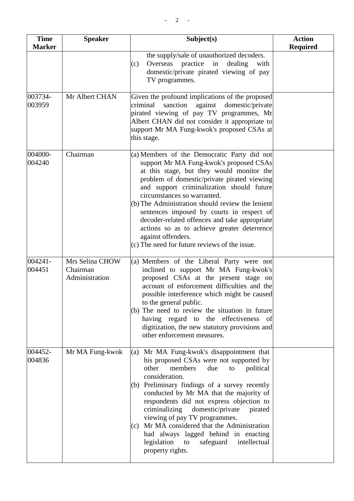| <b>Time</b><br><b>Marker</b> | <b>Speaker</b>                                | Subject(s)                                                                                                                                                                                                                                                                                                                                                                                                                                                                                                                                        | <b>Action</b><br><b>Required</b> |
|------------------------------|-----------------------------------------------|---------------------------------------------------------------------------------------------------------------------------------------------------------------------------------------------------------------------------------------------------------------------------------------------------------------------------------------------------------------------------------------------------------------------------------------------------------------------------------------------------------------------------------------------------|----------------------------------|
|                              |                                               | the supply/sale of unauthorized decoders.<br>Overseas practice<br>in<br>dealing<br>(c)<br>with<br>domestic/private pirated viewing of pay<br>TV programmes.                                                                                                                                                                                                                                                                                                                                                                                       |                                  |
| 003734-<br>003959            | Mr Albert CHAN                                | Given the profound implications of the proposed<br>sanction<br>against<br>domestic/private<br>criminal<br>pirated viewing of pay TV programmes, Mr<br>Albert CHAN did not consider it appropriate to<br>support Mr MA Fung-kwok's proposed CSAs at<br>this stage.                                                                                                                                                                                                                                                                                 |                                  |
| 004000-<br>004240            | Chairman                                      | (a) Members of the Democratic Party did not<br>support Mr MA Fung-kwok's proposed CSAs<br>at this stage, but they would monitor the<br>problem of domestic/private pirated viewing<br>and support criminalization should future<br>circumstances so warranted.<br>(b) The Administration should review the lenient<br>sentences imposed by courts in respect of<br>decoder-related offences and take appropriate<br>actions so as to achieve greater deterrence<br>against offenders.<br>(c) The need for future reviews of the issue.            |                                  |
| 004241-<br>004451            | Mrs Selina CHOW<br>Chairman<br>Administration | (a) Members of the Liberal Party were not<br>inclined to support Mr MA Fung-kwok's<br>proposed CSAs at the present stage on<br>account of enforcement difficulties and the<br>possible interference which might be caused<br>to the general public.<br>(b) The need to review the situation in future<br>having regard to the effectiveness of<br>digitization, the new statutory provisions and<br>other enforcement measures.                                                                                                                   |                                  |
| 004452-<br>004836            | Mr MA Fung-kwok                               | Mr MA Fung-kwok's disappointment that<br>(a)<br>his proposed CSAs were not supported by<br>members<br>other<br>political<br>due<br>to<br>consideration.<br>(b) Preliminary findings of a survey recently<br>conducted by Mr MA that the majority of<br>respondents did not express objection to<br>criminalizing<br>domestic/private<br>pirated<br>viewing of pay TV programmes.<br>Mr MA considered that the Administration<br>(c)<br>had always lagged behind in enacting<br>legislation<br>safeguard<br>intellectual<br>to<br>property rights. |                                  |